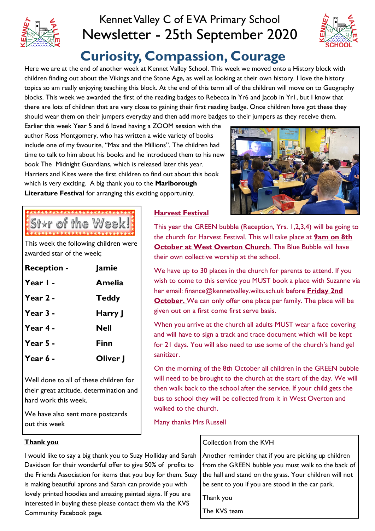

# Kennet Valley C of E VA Primary School Newsletter - 25th September 2020



# **Curiosity, Compassion, Courage**

Here we are at the end of another week at Kennet Valley School. This week we moved onto a History block with children finding out about the Vikings and the Stone Age, as well as looking at their own history. I love the history topics so am really enjoying teaching this block. At the end of this term all of the children will move on to Geography blocks. This week we awarded the first of the reading badges to Rebecca in Yr6 and Jacob in Yr1, but I know that there are lots of children that are very close to gaining their first reading badge. Once children have got these they should wear them on their jumpers everyday and then add more badges to their jumpers as they receive them.

Earlier this week Year 5 and 6 loved having a ZOOM session with the author Ross Montgomery, who has written a wide variety of books include one of my favourite, "Max and the Millions". The children had time to talk to him about his books and he introduced them to his new book The Midnight Guardians, which is released later this year. Harriers and Kites were the first children to find out about this book which is very exciting. A big thank you to the **Marlborough Literature Festival** for arranging this exciting opportunity.



# Ster of the Week

This week the following children were awarded star of the week;

| <b>Reception -</b> | Jamie         |
|--------------------|---------------|
| Year I -           | <b>Amelia</b> |
| Year $2 -$         | <b>Teddy</b>  |
| Year $3 -$         | Harry J       |
| Year 4 -           | <b>Nell</b>   |
| Year 5 -           | <b>Finn</b>   |
| Year 6 -           | Oliver J      |

Well done to all of these children for their great attitude, determination and hard work this week.

We have also sent more postcards out this week

#### **Thank you**

I would like to say a big thank you to Suzy Holliday and Sarah Davidson for their wonderful offer to give 50% of profits to the Friends Association for items that you buy for them. Suzy is making beautiful aprons and Sarah can provide you with lovely printed hoodies and amazing painted signs. If you are interested in buying these please contact them via the KVS Community Facebook page.

#### **Harvest Festival**

This year the GREEN bubble (Reception, Yrs. 1,2,3,4) will be going to the church for Harvest Festival. This will take place at **9am on 8th October at West Overton Church**. The Blue Bubble will have their own collective worship at the school.

We have up to 30 places in the church for parents to attend. If you wish to come to this service you MUST book a place with Suzanne via her email: finance@kennetvalley.wilts.sch.uk before **Friday 2nd October.** We can only offer one place per family. The place will be given out on a first come first serve basis.

When you arrive at the church all adults MUST wear a face covering and will have to sign a track and trace document which will be kept for 21 days. You will also need to use some of the church's hand gel sanitizer.

On the morning of the 8th October all children in the GREEN bubble will need to be brought to the church at the start of the day. We will then walk back to the school after the service. If your child gets the bus to school they will be collected from it in West Overton and walked to the church.

Many thanks Mrs Russell

#### Collection from the KVH

Another reminder that if you are picking up children from the GREEN bubble you must walk to the back of the hall and stand on the grass. Your children will not be sent to you if you are stood in the car park.

Thank you

The KVS team